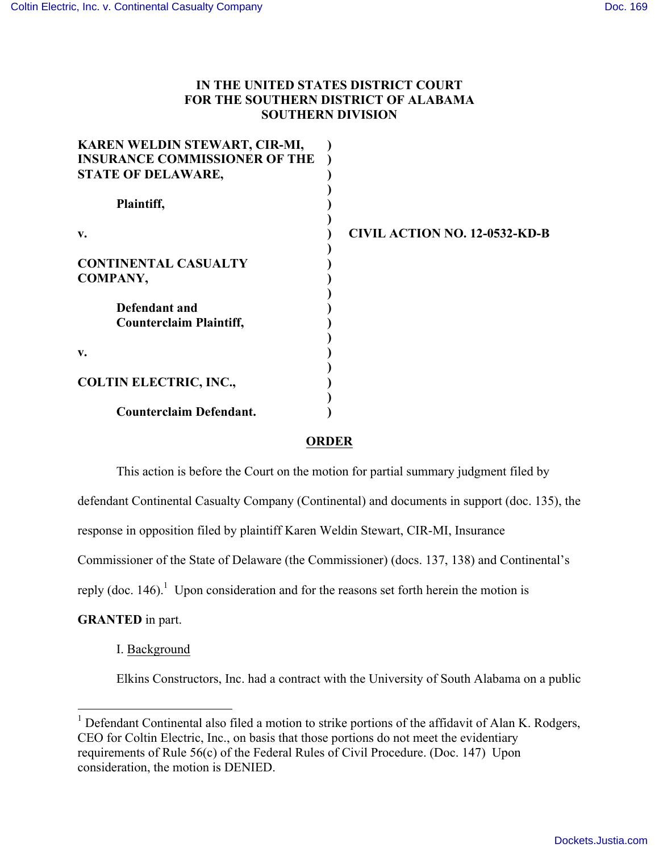# **IN THE UNITED STATES DISTRICT COURT FOR THE SOUTHERN DISTRICT OF ALABAMA SOUTHERN DIVISION**

| KAREN WELDIN STEWART, CIR-MI,                   |                                      |
|-------------------------------------------------|--------------------------------------|
| <b>INSURANCE COMMISSIONER OF THE</b>            |                                      |
| <b>STATE OF DELAWARE,</b>                       |                                      |
| Plaintiff,                                      |                                      |
| v.                                              | <b>CIVIL ACTION NO. 12-0532-KD-B</b> |
| <b>CONTINENTAL CASUALTY</b><br>COMPANY,         |                                      |
| Defendant and<br><b>Counterclaim Plaintiff,</b> |                                      |
| $\mathbf{v}$ .                                  |                                      |
| <b>COLTIN ELECTRIC, INC.,</b>                   |                                      |
| <b>Counterclaim Defendant.</b>                  |                                      |
|                                                 |                                      |

## **ORDER**

This action is before the Court on the motion for partial summary judgment filed by

defendant Continental Casualty Company (Continental) and documents in support (doc. 135), the

response in opposition filed by plaintiff Karen Weldin Stewart, CIR-MI, Insurance

Commissioner of the State of Delaware (the Commissioner) (docs. 137, 138) and Continental's

reply (doc. 146).<sup>1</sup> Upon consideration and for the reasons set forth herein the motion is

#### **GRANTED** in part.

I. Background

Elkins Constructors, Inc. had a contract with the University of South Alabama on a public

 $<sup>1</sup>$  Defendant Continental also filed a motion to strike portions of the affidavit of Alan K. Rodgers,</sup> CEO for Coltin Electric, Inc., on basis that those portions do not meet the evidentiary requirements of Rule 56(c) of the Federal Rules of Civil Procedure. (Doc. 147) Upon consideration, the motion is DENIED.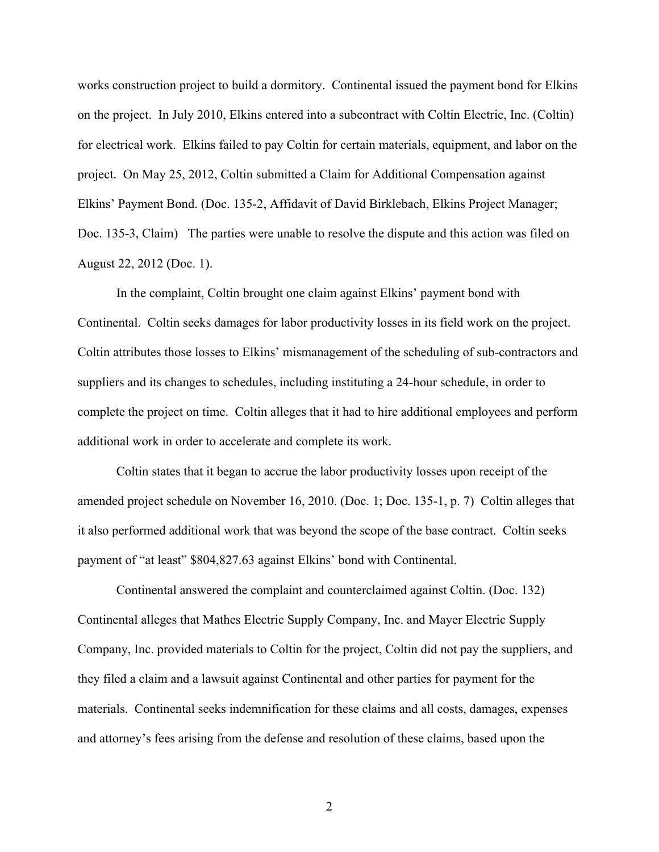works construction project to build a dormitory. Continental issued the payment bond for Elkins on the project. In July 2010, Elkins entered into a subcontract with Coltin Electric, Inc. (Coltin) for electrical work. Elkins failed to pay Coltin for certain materials, equipment, and labor on the project. On May 25, 2012, Coltin submitted a Claim for Additional Compensation against Elkins' Payment Bond. (Doc. 135-2, Affidavit of David Birklebach, Elkins Project Manager; Doc. 135-3, Claim) The parties were unable to resolve the dispute and this action was filed on August 22, 2012 (Doc. 1).

In the complaint, Coltin brought one claim against Elkins' payment bond with Continental. Coltin seeks damages for labor productivity losses in its field work on the project. Coltin attributes those losses to Elkins' mismanagement of the scheduling of sub-contractors and suppliers and its changes to schedules, including instituting a 24-hour schedule, in order to complete the project on time. Coltin alleges that it had to hire additional employees and perform additional work in order to accelerate and complete its work.

Coltin states that it began to accrue the labor productivity losses upon receipt of the amended project schedule on November 16, 2010. (Doc. 1; Doc. 135-1, p. 7) Coltin alleges that it also performed additional work that was beyond the scope of the base contract. Coltin seeks payment of "at least" \$804,827.63 against Elkins' bond with Continental.

Continental answered the complaint and counterclaimed against Coltin. (Doc. 132) Continental alleges that Mathes Electric Supply Company, Inc. and Mayer Electric Supply Company, Inc. provided materials to Coltin for the project, Coltin did not pay the suppliers, and they filed a claim and a lawsuit against Continental and other parties for payment for the materials. Continental seeks indemnification for these claims and all costs, damages, expenses and attorney's fees arising from the defense and resolution of these claims, based upon the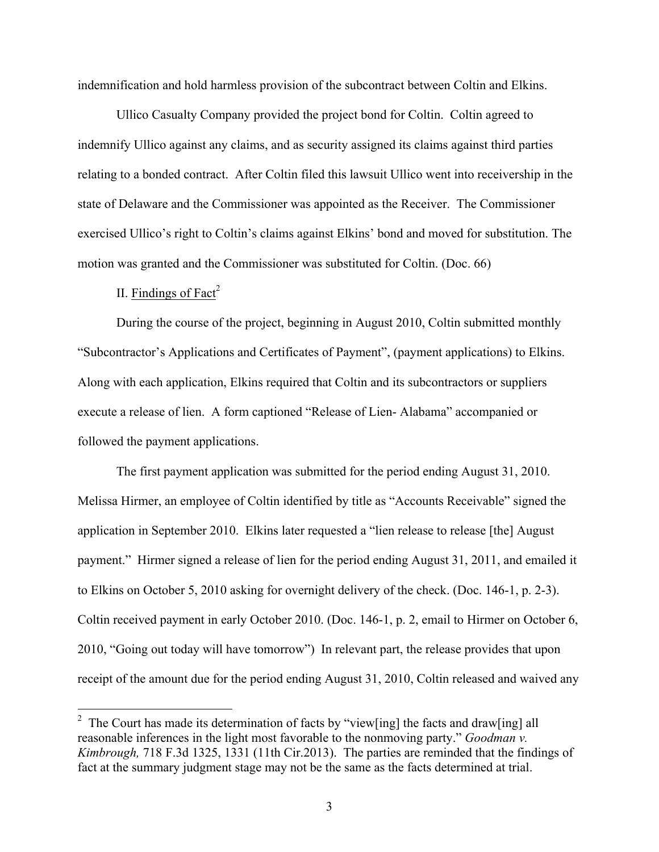indemnification and hold harmless provision of the subcontract between Coltin and Elkins.

Ullico Casualty Company provided the project bond for Coltin. Coltin agreed to indemnify Ullico against any claims, and as security assigned its claims against third parties relating to a bonded contract. After Coltin filed this lawsuit Ullico went into receivership in the state of Delaware and the Commissioner was appointed as the Receiver. The Commissioner exercised Ullico's right to Coltin's claims against Elkins' bond and moved for substitution. The motion was granted and the Commissioner was substituted for Coltin. (Doc. 66)

### II. Findings of Fact<sup>2</sup>

During the course of the project, beginning in August 2010, Coltin submitted monthly "Subcontractor's Applications and Certificates of Payment", (payment applications) to Elkins. Along with each application, Elkins required that Coltin and its subcontractors or suppliers execute a release of lien. A form captioned "Release of Lien- Alabama" accompanied or followed the payment applications.

The first payment application was submitted for the period ending August 31, 2010. Melissa Hirmer, an employee of Coltin identified by title as "Accounts Receivable" signed the application in September 2010. Elkins later requested a "lien release to release [the] August payment." Hirmer signed a release of lien for the period ending August 31, 2011, and emailed it to Elkins on October 5, 2010 asking for overnight delivery of the check. (Doc. 146-1, p. 2-3). Coltin received payment in early October 2010. (Doc. 146-1, p. 2, email to Hirmer on October 6, 2010, "Going out today will have tomorrow") In relevant part, the release provides that upon receipt of the amount due for the period ending August 31, 2010, Coltin released and waived any

<sup>&</sup>lt;sup>2</sup> The Court has made its determination of facts by "view[ing] the facts and draw[ing] all reasonable inferences in the light most favorable to the nonmoving party." *Goodman v. Kimbrough,* 718 F.3d 1325, 1331 (11th Cir.2013). The parties are reminded that the findings of fact at the summary judgment stage may not be the same as the facts determined at trial.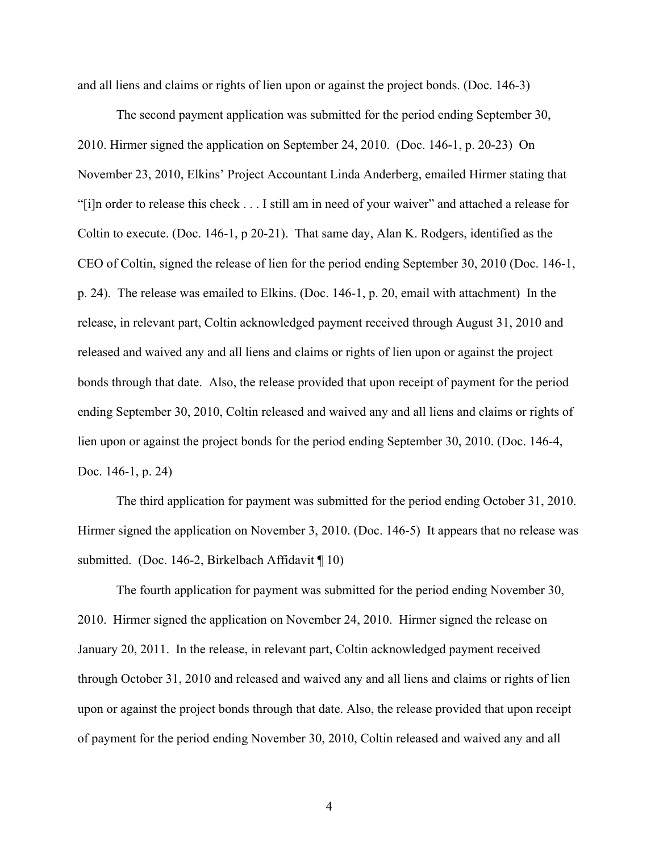and all liens and claims or rights of lien upon or against the project bonds. (Doc. 146-3)

The second payment application was submitted for the period ending September 30, 2010. Hirmer signed the application on September 24, 2010. (Doc. 146-1, p. 20-23) On November 23, 2010, Elkins' Project Accountant Linda Anderberg, emailed Hirmer stating that "[i]n order to release this check . . . I still am in need of your waiver" and attached a release for Coltin to execute. (Doc. 146-1, p 20-21). That same day, Alan K. Rodgers, identified as the CEO of Coltin, signed the release of lien for the period ending September 30, 2010 (Doc. 146-1, p. 24). The release was emailed to Elkins. (Doc. 146-1, p. 20, email with attachment) In the release, in relevant part, Coltin acknowledged payment received through August 31, 2010 and released and waived any and all liens and claims or rights of lien upon or against the project bonds through that date. Also, the release provided that upon receipt of payment for the period ending September 30, 2010, Coltin released and waived any and all liens and claims or rights of lien upon or against the project bonds for the period ending September 30, 2010. (Doc. 146-4, Doc. 146-1, p. 24)

The third application for payment was submitted for the period ending October 31, 2010. Hirmer signed the application on November 3, 2010. (Doc. 146-5) It appears that no release was submitted. (Doc. 146-2, Birkelbach Affidavit [10)

The fourth application for payment was submitted for the period ending November 30, 2010. Hirmer signed the application on November 24, 2010. Hirmer signed the release on January 20, 2011. In the release, in relevant part, Coltin acknowledged payment received through October 31, 2010 and released and waived any and all liens and claims or rights of lien upon or against the project bonds through that date. Also, the release provided that upon receipt of payment for the period ending November 30, 2010, Coltin released and waived any and all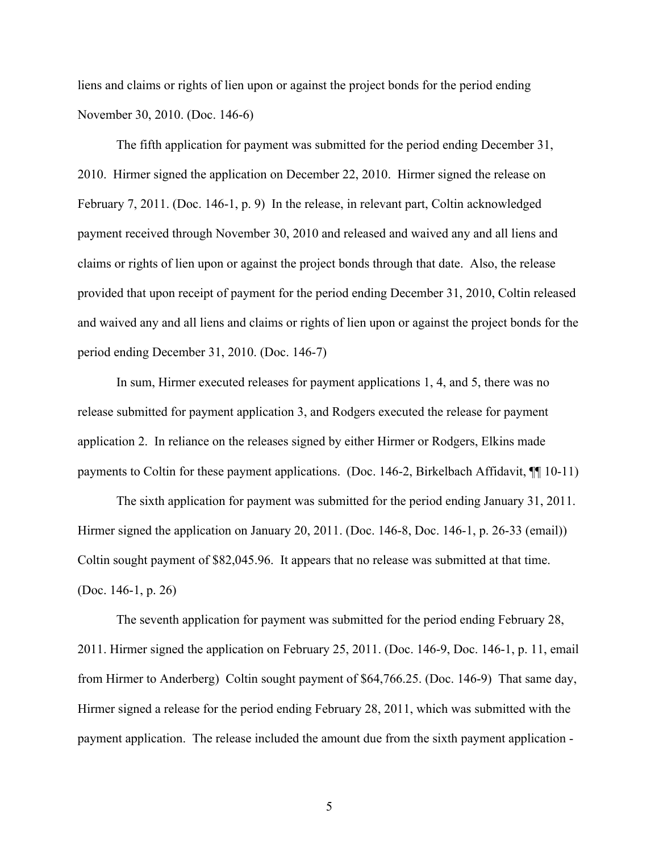liens and claims or rights of lien upon or against the project bonds for the period ending November 30, 2010. (Doc. 146-6)

The fifth application for payment was submitted for the period ending December 31, 2010. Hirmer signed the application on December 22, 2010. Hirmer signed the release on February 7, 2011. (Doc. 146-1, p. 9) In the release, in relevant part, Coltin acknowledged payment received through November 30, 2010 and released and waived any and all liens and claims or rights of lien upon or against the project bonds through that date. Also, the release provided that upon receipt of payment for the period ending December 31, 2010, Coltin released and waived any and all liens and claims or rights of lien upon or against the project bonds for the period ending December 31, 2010. (Doc. 146-7)

In sum, Hirmer executed releases for payment applications 1, 4, and 5, there was no release submitted for payment application 3, and Rodgers executed the release for payment application 2. In reliance on the releases signed by either Hirmer or Rodgers, Elkins made payments to Coltin for these payment applications. (Doc. 146-2, Birkelbach Affidavit, ¶¶ 10-11)

The sixth application for payment was submitted for the period ending January 31, 2011. Hirmer signed the application on January 20, 2011. (Doc. 146-8, Doc. 146-1, p. 26-33 (email)) Coltin sought payment of \$82,045.96. It appears that no release was submitted at that time. (Doc. 146-1, p. 26)

The seventh application for payment was submitted for the period ending February 28, 2011. Hirmer signed the application on February 25, 2011. (Doc. 146-9, Doc. 146-1, p. 11, email from Hirmer to Anderberg) Coltin sought payment of \$64,766.25. (Doc. 146-9) That same day, Hirmer signed a release for the period ending February 28, 2011, which was submitted with the payment application. The release included the amount due from the sixth payment application -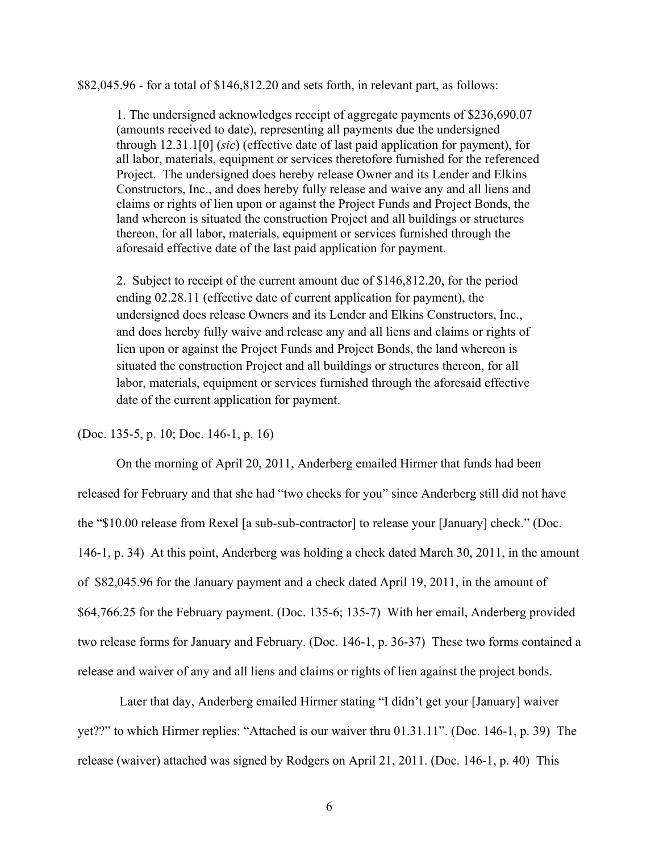\$82,045.96 - for a total of \$146,812.20 and sets forth, in relevant part, as follows:

1. The undersigned acknowledges receipt of aggregate payments of \$236,690.07 (amounts received to date), representing all payments due the undersigned through 12.31.1[0] (*sic*) (effective date of last paid application for payment), for all labor, materials, equipment or services theretofore furnished for the referenced Project. The undersigned does hereby release Owner and its Lender and Elkins Constructors, Inc., and does hereby fully release and waive any and all liens and claims or rights of lien upon or against the Project Funds and Project Bonds, the land whereon is situated the construction Project and all buildings or structures thereon, for all labor, materials, equipment or services furnished through the aforesaid effective date of the last paid application for payment.

2. Subject to receipt of the current amount due of \$146,812.20, for the period ending 02.28.11 (effective date of current application for payment), the undersigned does release Owners and its Lender and Elkins Constructors, Inc., and does hereby fully waive and release any and all liens and claims or rights of lien upon or against the Project Funds and Project Bonds, the land whereon is situated the construction Project and all buildings or structures thereon, for all labor, materials, equipment or services furnished through the aforesaid effective date of the current application for payment.

(Doc. 135-5, p. 10; Doc. 146-1, p. 16)

On the morning of April 20, 2011, Anderberg emailed Hirmer that funds had been released for February and that she had "two checks for you" since Anderberg still did not have the "\$10.00 release from Rexel [a sub-sub-contractor] to release your [January] check." (Doc. 146-1, p. 34) At this point, Anderberg was holding a check dated March 30, 2011, in the amount of \$82,045.96 for the January payment and a check dated April 19, 2011, in the amount of \$64,766.25 for the February payment. (Doc. 135-6; 135-7) With her email, Anderberg provided two release forms for January and February. (Doc. 146-1, p. 36-37) These two forms contained a release and waiver of any and all liens and claims or rights of lien against the project bonds.

Later that day, Anderberg emailed Hirmer stating "I didn't get your [January] waiver yet??" to which Hirmer replies: "Attached is our waiver thru 01.31.11". (Doc. 146-1, p. 39) The release (waiver) attached was signed by Rodgers on April 21, 2011. (Doc. 146-1, p. 40) This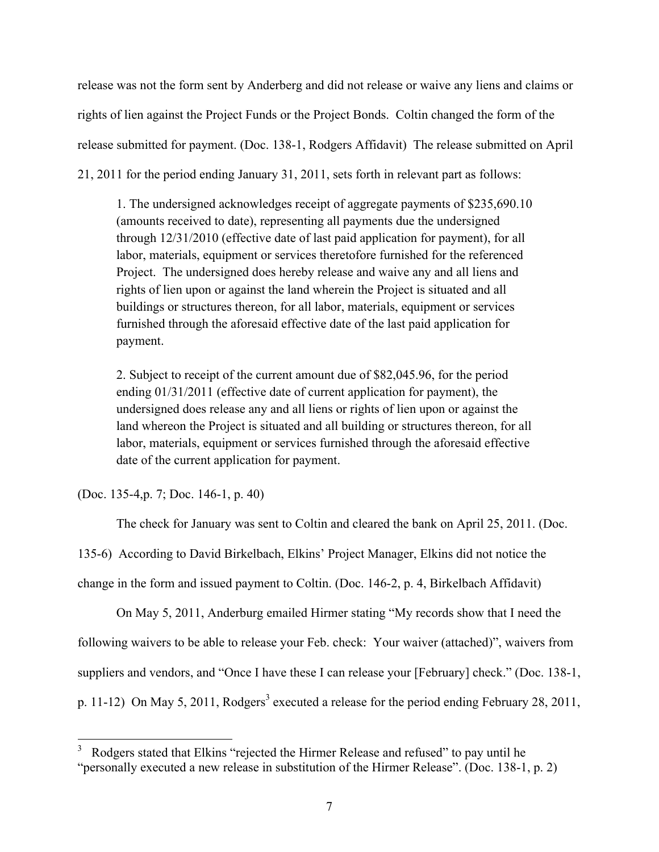release was not the form sent by Anderberg and did not release or waive any liens and claims or rights of lien against the Project Funds or the Project Bonds. Coltin changed the form of the release submitted for payment. (Doc. 138-1, Rodgers Affidavit) The release submitted on April 21, 2011 for the period ending January 31, 2011, sets forth in relevant part as follows:

1. The undersigned acknowledges receipt of aggregate payments of \$235,690.10 (amounts received to date), representing all payments due the undersigned through 12/31/2010 (effective date of last paid application for payment), for all labor, materials, equipment or services theretofore furnished for the referenced Project. The undersigned does hereby release and waive any and all liens and rights of lien upon or against the land wherein the Project is situated and all buildings or structures thereon, for all labor, materials, equipment or services furnished through the aforesaid effective date of the last paid application for payment.

2. Subject to receipt of the current amount due of \$82,045.96, for the period ending 01/31/2011 (effective date of current application for payment), the undersigned does release any and all liens or rights of lien upon or against the land whereon the Project is situated and all building or structures thereon, for all labor, materials, equipment or services furnished through the aforesaid effective date of the current application for payment.

(Doc. 135-4,p. 7; Doc. 146-1, p. 40)

The check for January was sent to Coltin and cleared the bank on April 25, 2011. (Doc.

135-6) According to David Birkelbach, Elkins' Project Manager, Elkins did not notice the

change in the form and issued payment to Coltin. (Doc. 146-2, p. 4, Birkelbach Affidavit)

On May 5, 2011, Anderburg emailed Hirmer stating "My records show that I need the following waivers to be able to release your Feb. check: Your waiver (attached)", waivers from suppliers and vendors, and "Once I have these I can release your [February] check." (Doc. 138-1, p. 11-12) On May 5, 2011, Rodgers<sup>3</sup> executed a release for the period ending February 28, 2011,

<sup>&</sup>lt;sup>3</sup> Rodgers stated that Elkins "rejected the Hirmer Release and refused" to pay until he "personally executed a new release in substitution of the Hirmer Release". (Doc. 138-1, p. 2)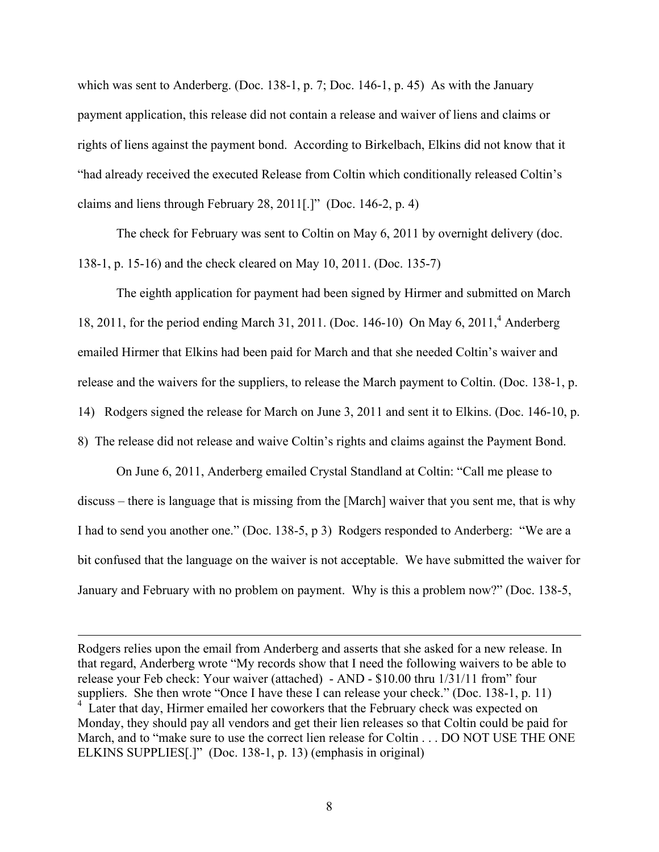which was sent to Anderberg. (Doc. 138-1, p. 7; Doc. 146-1, p. 45) As with the January payment application, this release did not contain a release and waiver of liens and claims or rights of liens against the payment bond. According to Birkelbach, Elkins did not know that it "had already received the executed Release from Coltin which conditionally released Coltin's claims and liens through February 28, 2011[.]" (Doc. 146-2, p. 4)

The check for February was sent to Coltin on May 6, 2011 by overnight delivery (doc. 138-1, p. 15-16) and the check cleared on May 10, 2011. (Doc. 135-7)

The eighth application for payment had been signed by Hirmer and submitted on March 18, 2011, for the period ending March 31, 2011. (Doc. 146-10) On May 6, 2011,  $4$  Anderberg emailed Hirmer that Elkins had been paid for March and that she needed Coltin's waiver and release and the waivers for the suppliers, to release the March payment to Coltin. (Doc. 138-1, p. 14) Rodgers signed the release for March on June 3, 2011 and sent it to Elkins. (Doc. 146-10, p. 8) The release did not release and waive Coltin's rights and claims against the Payment Bond.

On June 6, 2011, Anderberg emailed Crystal Standland at Coltin: "Call me please to discuss – there is language that is missing from the [March] waiver that you sent me, that is why I had to send you another one." (Doc. 138-5, p 3) Rodgers responded to Anderberg: "We are a bit confused that the language on the waiver is not acceptable. We have submitted the waiver for January and February with no problem on payment. Why is this a problem now?" (Doc. 138-5,

Rodgers relies upon the email from Anderberg and asserts that she asked for a new release. In that regard, Anderberg wrote "My records show that I need the following waivers to be able to release your Feb check: Your waiver (attached) - AND - \$10.00 thru 1/31/11 from" four suppliers. She then wrote "Once I have these I can release your check." (Doc. 138-1, p. 11) <sup>4</sup> Later that day, Hirmer emailed her coworkers that the February check was expected on Monday, they should pay all vendors and get their lien releases so that Coltin could be paid for March, and to "make sure to use the correct lien release for Coltin . . . DO NOT USE THE ONE ELKINS SUPPLIES[.]" (Doc. 138-1, p. 13) (emphasis in original)

 $\overline{a}$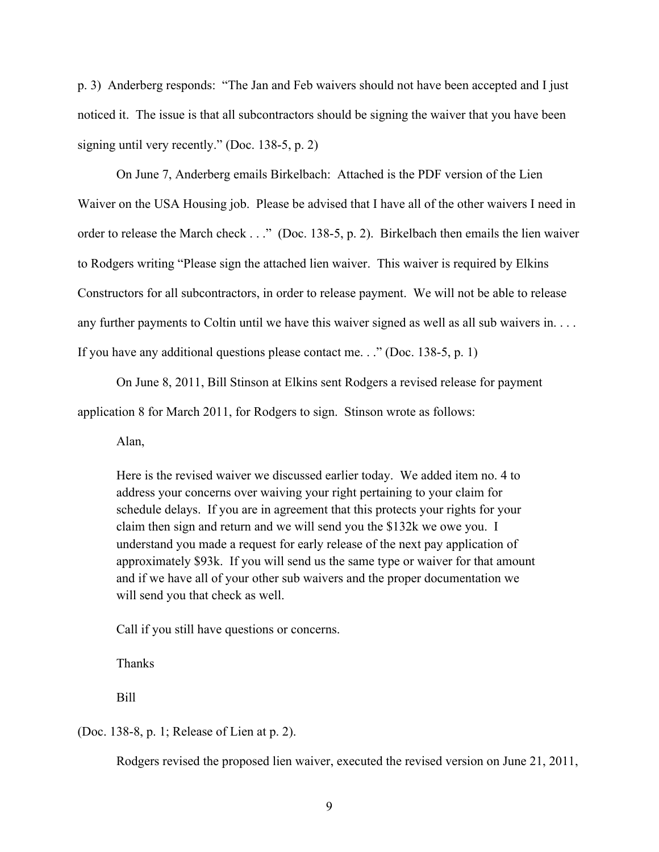p. 3) Anderberg responds: "The Jan and Feb waivers should not have been accepted and I just noticed it. The issue is that all subcontractors should be signing the waiver that you have been signing until very recently." (Doc. 138-5, p. 2)

On June 7, Anderberg emails Birkelbach: Attached is the PDF version of the Lien Waiver on the USA Housing job. Please be advised that I have all of the other waivers I need in order to release the March check . . ." (Doc. 138-5, p. 2). Birkelbach then emails the lien waiver to Rodgers writing "Please sign the attached lien waiver. This waiver is required by Elkins Constructors for all subcontractors, in order to release payment. We will not be able to release any further payments to Coltin until we have this waiver signed as well as all sub waivers in. . . . If you have any additional questions please contact me. . ." (Doc. 138-5, p. 1)

On June 8, 2011, Bill Stinson at Elkins sent Rodgers a revised release for payment application 8 for March 2011, for Rodgers to sign. Stinson wrote as follows:

Alan,

Here is the revised waiver we discussed earlier today. We added item no. 4 to address your concerns over waiving your right pertaining to your claim for schedule delays. If you are in agreement that this protects your rights for your claim then sign and return and we will send you the \$132k we owe you. I understand you made a request for early release of the next pay application of approximately \$93k. If you will send us the same type or waiver for that amount and if we have all of your other sub waivers and the proper documentation we will send you that check as well.

Call if you still have questions or concerns.

Thanks

Bill

(Doc. 138-8, p. 1; Release of Lien at p. 2).

Rodgers revised the proposed lien waiver, executed the revised version on June 21, 2011,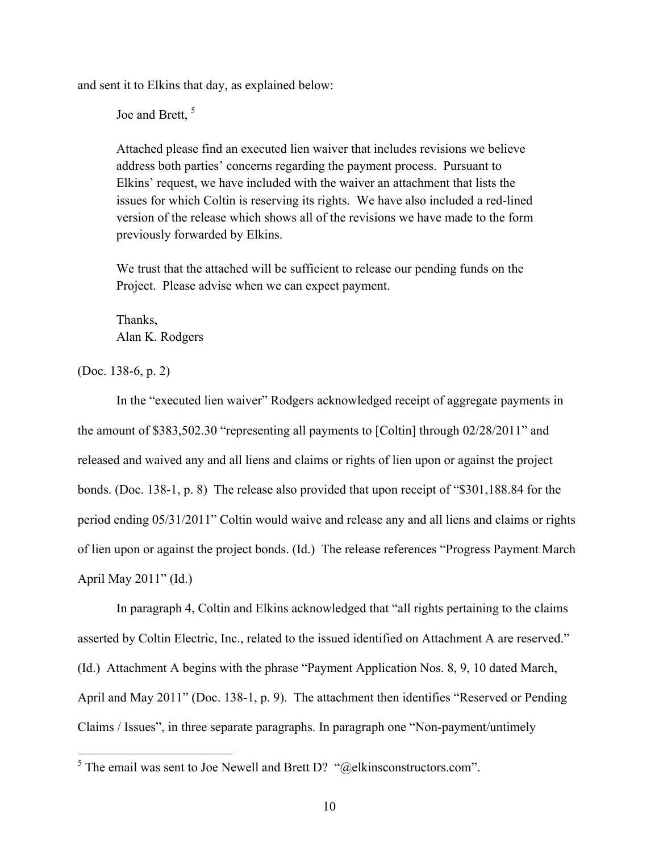and sent it to Elkins that day, as explained below:

Joe and Brett,  $5$ 

Attached please find an executed lien waiver that includes revisions we believe address both parties' concerns regarding the payment process. Pursuant to Elkins' request, we have included with the waiver an attachment that lists the issues for which Coltin is reserving its rights. We have also included a red-lined version of the release which shows all of the revisions we have made to the form previously forwarded by Elkins.

We trust that the attached will be sufficient to release our pending funds on the Project. Please advise when we can expect payment.

Thanks, Alan K. Rodgers

(Doc. 138-6, p. 2)

In the "executed lien waiver" Rodgers acknowledged receipt of aggregate payments in the amount of \$383,502.30 "representing all payments to [Coltin] through 02/28/2011" and released and waived any and all liens and claims or rights of lien upon or against the project bonds. (Doc. 138-1, p. 8) The release also provided that upon receipt of "\$301,188.84 for the period ending 05/31/2011" Coltin would waive and release any and all liens and claims or rights of lien upon or against the project bonds. (Id.) The release references "Progress Payment March April May 2011" (Id.)

In paragraph 4, Coltin and Elkins acknowledged that "all rights pertaining to the claims asserted by Coltin Electric, Inc., related to the issued identified on Attachment A are reserved." (Id.) Attachment A begins with the phrase "Payment Application Nos. 8, 9, 10 dated March, April and May 2011" (Doc. 138-1, p. 9). The attachment then identifies "Reserved or Pending Claims / Issues", in three separate paragraphs. In paragraph one "Non-payment/untimely

 $5$  The email was sent to Joe Newell and Brett D? "@elkinsconstructors.com".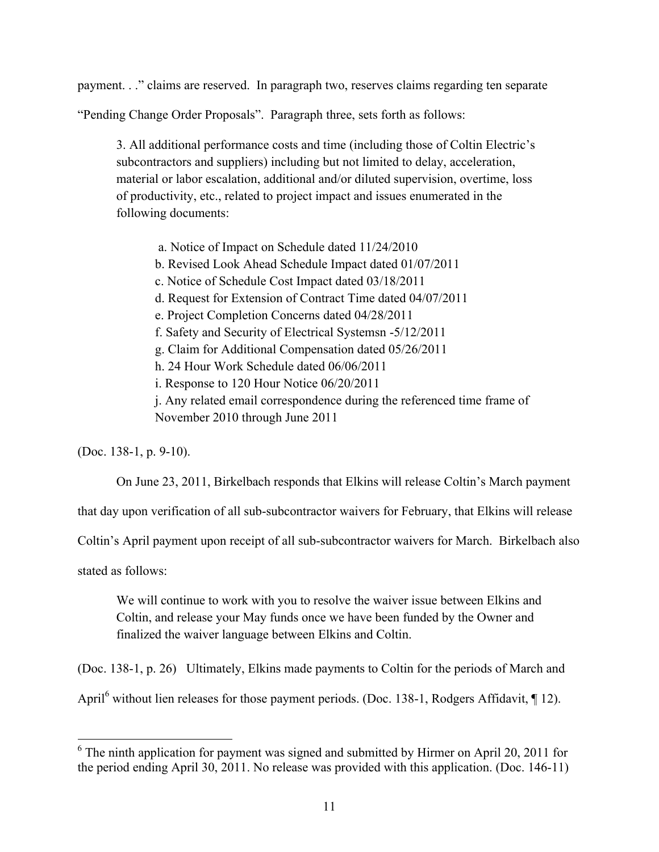payment. . ." claims are reserved. In paragraph two, reserves claims regarding ten separate

"Pending Change Order Proposals". Paragraph three, sets forth as follows:

3. All additional performance costs and time (including those of Coltin Electric's subcontractors and suppliers) including but not limited to delay, acceleration, material or labor escalation, additional and/or diluted supervision, overtime, loss of productivity, etc., related to project impact and issues enumerated in the following documents:

a. Notice of Impact on Schedule dated 11/24/2010

b. Revised Look Ahead Schedule Impact dated 01/07/2011

c. Notice of Schedule Cost Impact dated 03/18/2011

d. Request for Extension of Contract Time dated 04/07/2011

e. Project Completion Concerns dated 04/28/2011

f. Safety and Security of Electrical Systemsn -5/12/2011

g. Claim for Additional Compensation dated 05/26/2011

h. 24 Hour Work Schedule dated 06/06/2011

i. Response to 120 Hour Notice 06/20/2011

j. Any related email correspondence during the referenced time frame of November 2010 through June 2011

(Doc. 138-1, p. 9-10).

On June 23, 2011, Birkelbach responds that Elkins will release Coltin's March payment

that day upon verification of all sub-subcontractor waivers for February, that Elkins will release

Coltin's April payment upon receipt of all sub-subcontractor waivers for March. Birkelbach also

stated as follows:

We will continue to work with you to resolve the waiver issue between Elkins and Coltin, and release your May funds once we have been funded by the Owner and finalized the waiver language between Elkins and Coltin.

(Doc. 138-1, p. 26) Ultimately, Elkins made payments to Coltin for the periods of March and

April<sup>6</sup> without lien releases for those payment periods. (Doc. 138-1, Rodgers Affidavit, 12).

 $6$  The ninth application for payment was signed and submitted by Hirmer on April 20, 2011 for the period ending April 30, 2011. No release was provided with this application. (Doc. 146-11)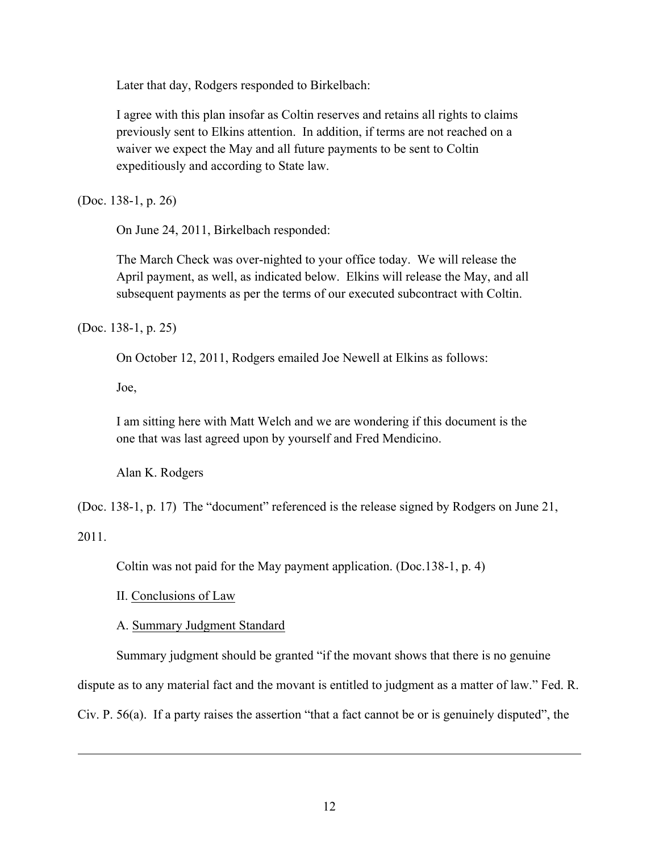Later that day, Rodgers responded to Birkelbach:

I agree with this plan insofar as Coltin reserves and retains all rights to claims previously sent to Elkins attention. In addition, if terms are not reached on a waiver we expect the May and all future payments to be sent to Coltin expeditiously and according to State law.

(Doc. 138-1, p. 26)

On June 24, 2011, Birkelbach responded:

The March Check was over-nighted to your office today. We will release the April payment, as well, as indicated below. Elkins will release the May, and all subsequent payments as per the terms of our executed subcontract with Coltin.

(Doc. 138-1, p. 25)

On October 12, 2011, Rodgers emailed Joe Newell at Elkins as follows:

Joe,

I am sitting here with Matt Welch and we are wondering if this document is the one that was last agreed upon by yourself and Fred Mendicino.

Alan K. Rodgers

(Doc. 138-1, p. 17) The "document" referenced is the release signed by Rodgers on June 21,

2011.

 $\overline{a}$ 

Coltin was not paid for the May payment application. (Doc.138-1, p. 4)

II. Conclusions of Law

## A. Summary Judgment Standard

Summary judgment should be granted "if the movant shows that there is no genuine

dispute as to any material fact and the movant is entitled to judgment as a matter of law." Fed. R.

Civ. P. 56(a). If a party raises the assertion "that a fact cannot be or is genuinely disputed", the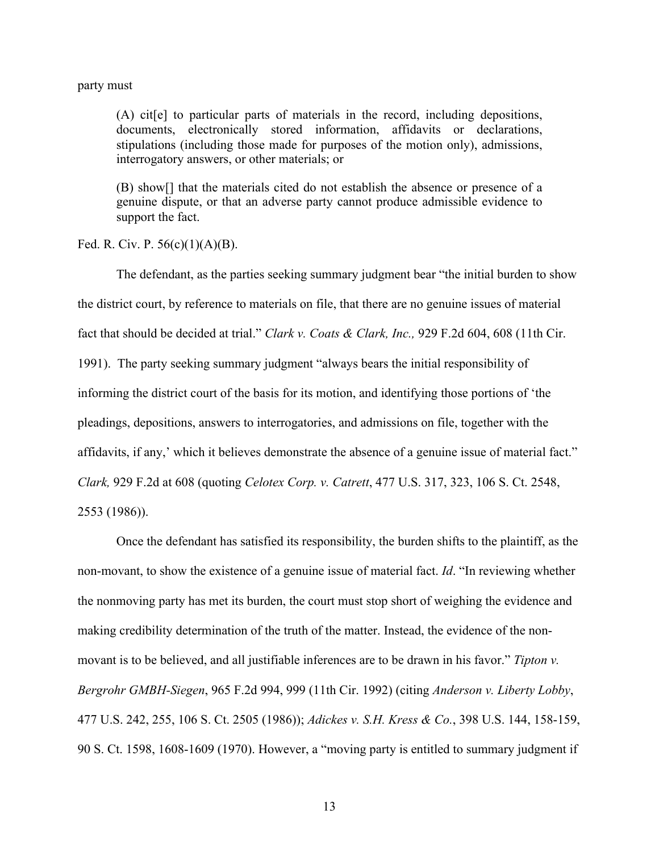#### party must

(A) cit[e] to particular parts of materials in the record, including depositions, documents, electronically stored information, affidavits or declarations, stipulations (including those made for purposes of the motion only), admissions, interrogatory answers, or other materials; or

(B) show[] that the materials cited do not establish the absence or presence of a genuine dispute, or that an adverse party cannot produce admissible evidence to support the fact.

Fed. R. Civ. P.  $56(c)(1)(A)(B)$ .

The defendant, as the parties seeking summary judgment bear "the initial burden to show the district court, by reference to materials on file, that there are no genuine issues of material fact that should be decided at trial." *Clark v. Coats & Clark, Inc.,* 929 F.2d 604, 608 (11th Cir. 1991). The party seeking summary judgment "always bears the initial responsibility of informing the district court of the basis for its motion, and identifying those portions of 'the pleadings, depositions, answers to interrogatories, and admissions on file, together with the affidavits, if any,' which it believes demonstrate the absence of a genuine issue of material fact." *Clark,* 929 F.2d at 608 (quoting *Celotex Corp. v. Catrett*, 477 U.S. 317, 323, 106 S. Ct. 2548, 2553 (1986)).

Once the defendant has satisfied its responsibility, the burden shifts to the plaintiff, as the non-movant, to show the existence of a genuine issue of material fact. *Id*. "In reviewing whether the nonmoving party has met its burden, the court must stop short of weighing the evidence and making credibility determination of the truth of the matter. Instead, the evidence of the nonmovant is to be believed, and all justifiable inferences are to be drawn in his favor." *Tipton v. Bergrohr GMBH-Siegen*, 965 F.2d 994, 999 (11th Cir. 1992) (citing *Anderson v. Liberty Lobby*, 477 U.S. 242, 255, 106 S. Ct. 2505 (1986)); *Adickes v. S.H. Kress & Co.*, 398 U.S. 144, 158-159, 90 S. Ct. 1598, 1608-1609 (1970). However, a "moving party is entitled to summary judgment if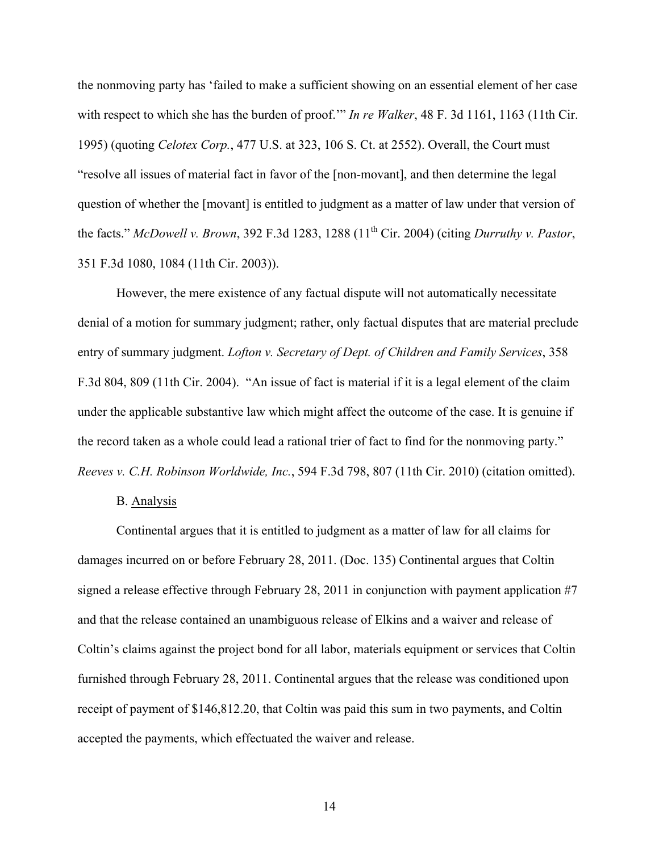the nonmoving party has 'failed to make a sufficient showing on an essential element of her case with respect to which she has the burden of proof.'" *In re Walker*, 48 F. 3d 1161, 1163 (11th Cir. 1995) (quoting *Celotex Corp.*, 477 U.S. at 323, 106 S. Ct. at 2552). Overall, the Court must "resolve all issues of material fact in favor of the [non-movant], and then determine the legal question of whether the [movant] is entitled to judgment as a matter of law under that version of the facts." *McDowell v. Brown*, 392 F.3d 1283, 1288 (11<sup>th</sup> Cir. 2004) (citing *Durruthy v. Pastor*, 351 F.3d 1080, 1084 (11th Cir. 2003)).

However, the mere existence of any factual dispute will not automatically necessitate denial of a motion for summary judgment; rather, only factual disputes that are material preclude entry of summary judgment. *Lofton v. Secretary of Dept. of Children and Family Services*, 358 F.3d 804, 809 (11th Cir. 2004). "An issue of fact is material if it is a legal element of the claim under the applicable substantive law which might affect the outcome of the case. It is genuine if the record taken as a whole could lead a rational trier of fact to find for the nonmoving party." *Reeves v. C.H. Robinson Worldwide, Inc.*, 594 F.3d 798, 807 (11th Cir. 2010) (citation omitted).

### B. Analysis

Continental argues that it is entitled to judgment as a matter of law for all claims for damages incurred on or before February 28, 2011. (Doc. 135) Continental argues that Coltin signed a release effective through February 28, 2011 in conjunction with payment application #7 and that the release contained an unambiguous release of Elkins and a waiver and release of Coltin's claims against the project bond for all labor, materials equipment or services that Coltin furnished through February 28, 2011. Continental argues that the release was conditioned upon receipt of payment of \$146,812.20, that Coltin was paid this sum in two payments, and Coltin accepted the payments, which effectuated the waiver and release.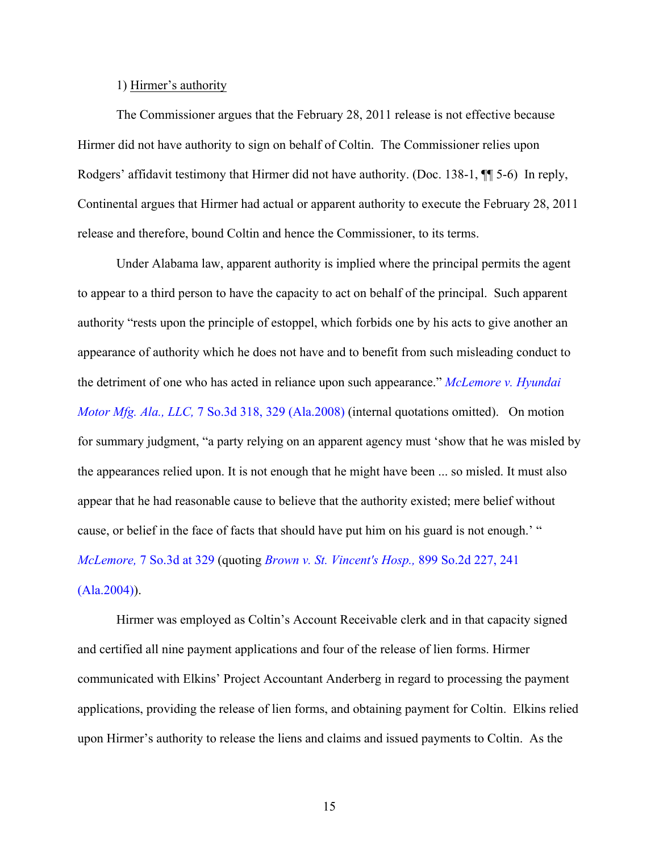#### 1) Hirmer's authority

The Commissioner argues that the February 28, 2011 release is not effective because Hirmer did not have authority to sign on behalf of Coltin. The Commissioner relies upon Rodgers' affidavit testimony that Hirmer did not have authority. (Doc. 138-1, ¶¶ 5-6) In reply, Continental argues that Hirmer had actual or apparent authority to execute the February 28, 2011 release and therefore, bound Coltin and hence the Commissioner, to its terms.

Under Alabama law, apparent authority is implied where the principal permits the agent to appear to a third person to have the capacity to act on behalf of the principal. Such apparent authority "rests upon the principle of estoppel, which forbids one by his acts to give another an appearance of authority which he does not have and to benefit from such misleading conduct to the detriment of one who has acted in reliance upon such appearance." *McLemore v. Hyundai Motor Mfg. Ala., LLC,* 7 So.3d 318, 329 (Ala.2008) (internal quotations omitted). On motion for summary judgment, "a party relying on an apparent agency must 'show that he was misled by the appearances relied upon. It is not enough that he might have been ... so misled. It must also appear that he had reasonable cause to believe that the authority existed; mere belief without cause, or belief in the face of facts that should have put him on his guard is not enough.'" *McLemore,* 7 So.3d at 329 (quoting *Brown v. St. Vincent's Hosp.,* 899 So.2d 227, 241 (Ala.2004)).

Hirmer was employed as Coltin's Account Receivable clerk and in that capacity signed and certified all nine payment applications and four of the release of lien forms. Hirmer communicated with Elkins' Project Accountant Anderberg in regard to processing the payment applications, providing the release of lien forms, and obtaining payment for Coltin. Elkins relied upon Hirmer's authority to release the liens and claims and issued payments to Coltin. As the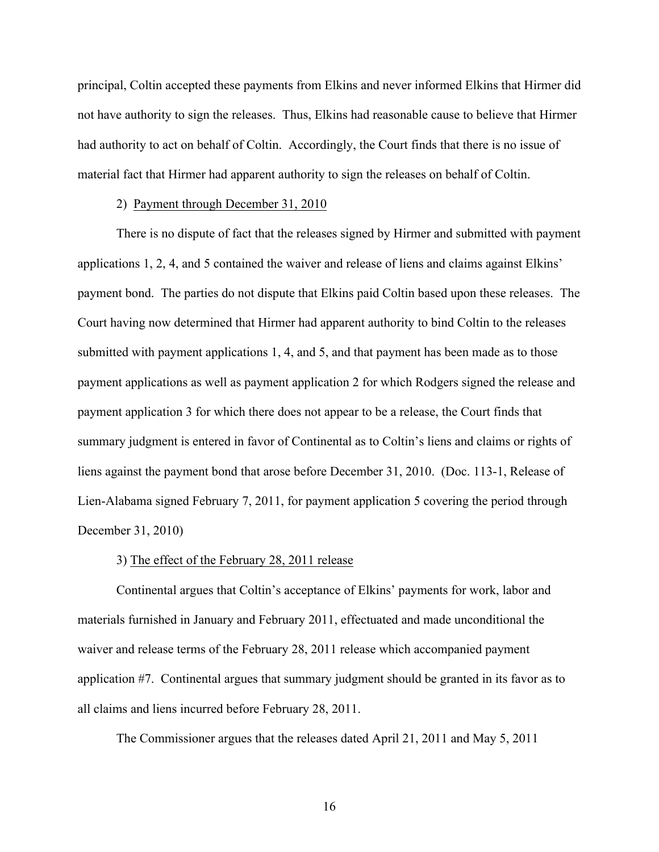principal, Coltin accepted these payments from Elkins and never informed Elkins that Hirmer did not have authority to sign the releases. Thus, Elkins had reasonable cause to believe that Hirmer had authority to act on behalf of Coltin. Accordingly, the Court finds that there is no issue of material fact that Hirmer had apparent authority to sign the releases on behalf of Coltin.

#### 2) Payment through December 31, 2010

There is no dispute of fact that the releases signed by Hirmer and submitted with payment applications 1, 2, 4, and 5 contained the waiver and release of liens and claims against Elkins' payment bond. The parties do not dispute that Elkins paid Coltin based upon these releases. The Court having now determined that Hirmer had apparent authority to bind Coltin to the releases submitted with payment applications 1, 4, and 5, and that payment has been made as to those payment applications as well as payment application 2 for which Rodgers signed the release and payment application 3 for which there does not appear to be a release, the Court finds that summary judgment is entered in favor of Continental as to Coltin's liens and claims or rights of liens against the payment bond that arose before December 31, 2010. (Doc. 113-1, Release of Lien-Alabama signed February 7, 2011, for payment application 5 covering the period through December 31, 2010)

### 3) The effect of the February 28, 2011 release

Continental argues that Coltin's acceptance of Elkins' payments for work, labor and materials furnished in January and February 2011, effectuated and made unconditional the waiver and release terms of the February 28, 2011 release which accompanied payment application #7. Continental argues that summary judgment should be granted in its favor as to all claims and liens incurred before February 28, 2011.

The Commissioner argues that the releases dated April 21, 2011 and May 5, 2011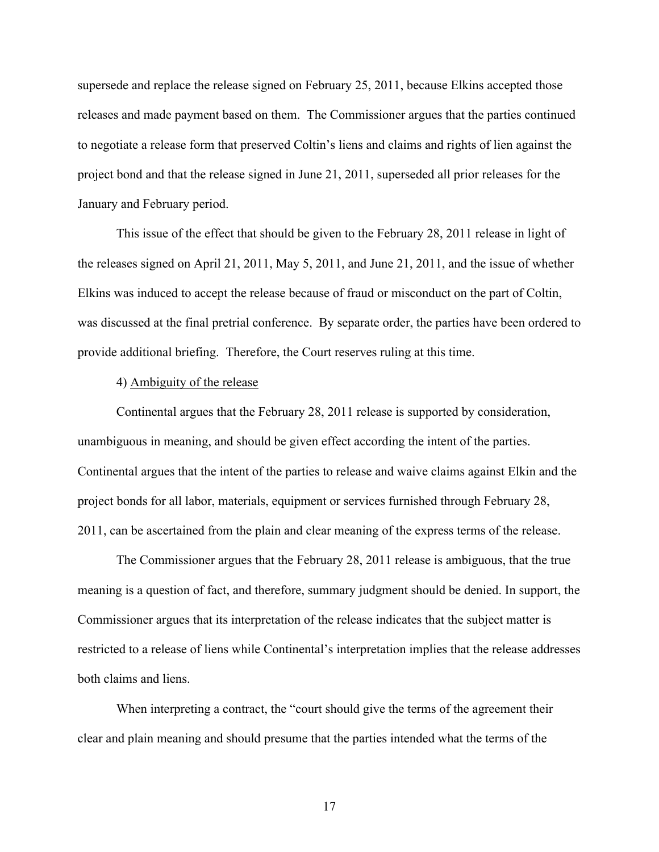supersede and replace the release signed on February 25, 2011, because Elkins accepted those releases and made payment based on them. The Commissioner argues that the parties continued to negotiate a release form that preserved Coltin's liens and claims and rights of lien against the project bond and that the release signed in June 21, 2011, superseded all prior releases for the January and February period.

This issue of the effect that should be given to the February 28, 2011 release in light of the releases signed on April 21, 2011, May 5, 2011, and June 21, 2011, and the issue of whether Elkins was induced to accept the release because of fraud or misconduct on the part of Coltin, was discussed at the final pretrial conference. By separate order, the parties have been ordered to provide additional briefing. Therefore, the Court reserves ruling at this time.

#### 4) Ambiguity of the release

Continental argues that the February 28, 2011 release is supported by consideration, unambiguous in meaning, and should be given effect according the intent of the parties. Continental argues that the intent of the parties to release and waive claims against Elkin and the project bonds for all labor, materials, equipment or services furnished through February 28, 2011, can be ascertained from the plain and clear meaning of the express terms of the release.

The Commissioner argues that the February 28, 2011 release is ambiguous, that the true meaning is a question of fact, and therefore, summary judgment should be denied. In support, the Commissioner argues that its interpretation of the release indicates that the subject matter is restricted to a release of liens while Continental's interpretation implies that the release addresses both claims and liens.

When interpreting a contract, the "court should give the terms of the agreement their clear and plain meaning and should presume that the parties intended what the terms of the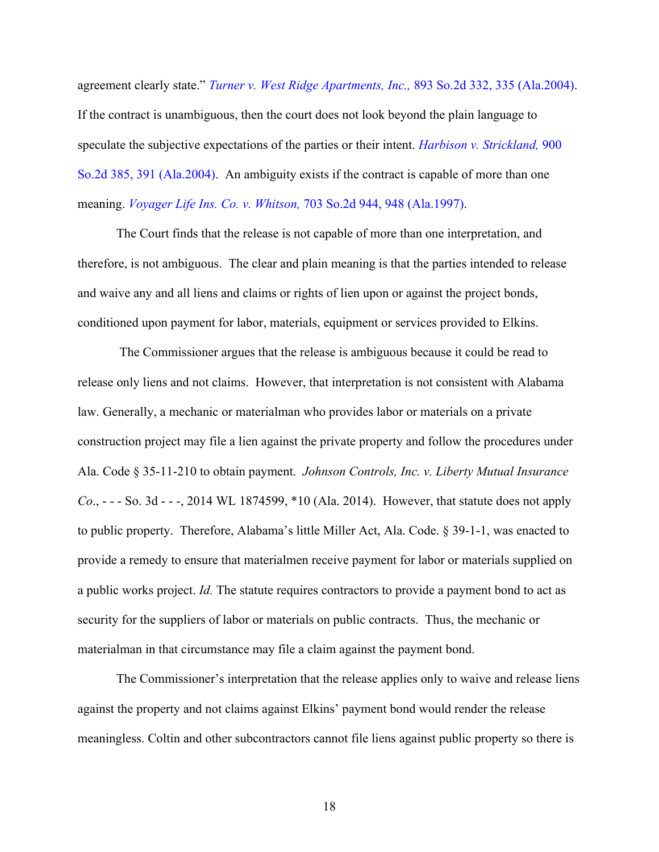agreement clearly state." *Turner v. West Ridge Apartments, Inc.,* 893 So.2d 332, 335 (Ala.2004). If the contract is unambiguous, then the court does not look beyond the plain language to speculate the subjective expectations of the parties or their intent. *Harbison v. Strickland,* 900 So.2d 385, 391 (Ala.2004). An ambiguity exists if the contract is capable of more than one meaning. *Voyager Life Ins. Co. v. Whitson,* 703 So.2d 944, 948 (Ala.1997).

The Court finds that the release is not capable of more than one interpretation, and therefore, is not ambiguous. The clear and plain meaning is that the parties intended to release and waive any and all liens and claims or rights of lien upon or against the project bonds, conditioned upon payment for labor, materials, equipment or services provided to Elkins.

The Commissioner argues that the release is ambiguous because it could be read to release only liens and not claims. However, that interpretation is not consistent with Alabama law. Generally, a mechanic or materialman who provides labor or materials on a private construction project may file a lien against the private property and follow the procedures under Ala. Code § 35-11-210 to obtain payment. *Johnson Controls, Inc. v. Liberty Mutual Insurance Co*., - - - So. 3d - - -, 2014 WL 1874599, \*10 (Ala. 2014). However, that statute does not apply to public property. Therefore, Alabama's little Miller Act, Ala. Code. § 39-1-1, was enacted to provide a remedy to ensure that materialmen receive payment for labor or materials supplied on a public works project. *Id.* The statute requires contractors to provide a payment bond to act as security for the suppliers of labor or materials on public contracts. Thus, the mechanic or materialman in that circumstance may file a claim against the payment bond.

The Commissioner's interpretation that the release applies only to waive and release liens against the property and not claims against Elkins' payment bond would render the release meaningless. Coltin and other subcontractors cannot file liens against public property so there is